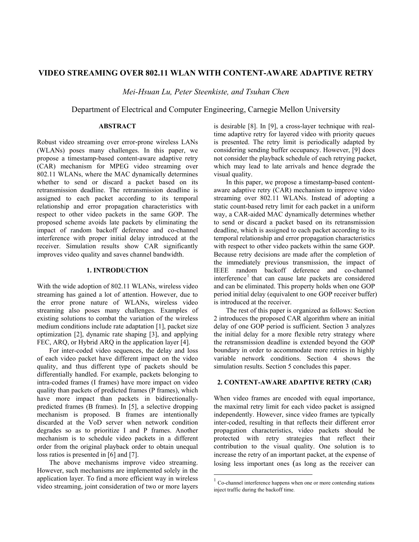# **VIDEO STREAMING OVER 802.11 WLAN WITH CONTENT-AWARE ADAPTIVE RETRY**

*Mei-Hsuan Lu, Peter Steenkiste, and Tsuhan Chen* 

Department of Electrical and Computer Engineering, Carnegie Mellon University

# **ABSTRACT**

Robust video streaming over error-prone wireless LANs (WLANs) poses many challenges. In this paper, we propose a timestamp-based content-aware adaptive retry (CAR) mechanism for MPEG video streaming over 802.11 WLANs, where the MAC dynamically determines whether to send or discard a packet based on its retransmission deadline. The retransmission deadline is assigned to each packet according to its temporal relationship and error propagation characteristics with respect to other video packets in the same GOP. The proposed scheme avoids late packets by eliminating the impact of random backoff deference and co-channel interference with proper initial delay introduced at the receiver. Simulation results show CAR significantly improves video quality and saves channel bandwidth.

## **1. INTRODUCTION**

With the wide adoption of 802.11 WLANs, wireless video streaming has gained a lot of attention. However, due to the error prone nature of WLANs, wireless video streaming also poses many challenges. Examples of existing solutions to combat the variation of the wireless medium conditions include rate adaptation [1], packet size optimization [2], dynamic rate shaping [3], and applying FEC, ARQ, or Hybrid ARQ in the application layer [4].

For inter-coded video sequences, the delay and loss of each video packet have different impact on the video quality, and thus different type of packets should be differentially handled. For example, packets belonging to intra-coded frames (I frames) have more impact on video quality than packets of predicted frames (P frames), which have more impact than packets in bidirectionallypredicted frames (B frames). In [5], a selective dropping mechanism is proposed. B frames are intentionally discarded at the VoD server when network condition degrades so as to prioritize I and P frames. Another mechanism is to schedule video packets in a different order from the original playback order to obtain unequal loss ratios is presented in [6] and [7].

The above mechanisms improve video streaming. However, such mechanisms are implemented solely in the application layer. To find a more efficient way in wireless video streaming, joint consideration of two or more layers is desirable [8]. In [9], a cross-layer technique with realtime adaptive retry for layered video with priority queues is presented. The retry limit is periodically adapted by considering sending buffer occupancy. However, [9] does not consider the playback schedule of each retrying packet, which may lead to late arrivals and hence degrade the visual quality.

In this paper, we propose a timestamp-based contentaware adaptive retry (CAR) mechanism to improve video streaming over 802.11 WLANs. Instead of adopting a static count-based retry limit for each packet in a uniform way, a CAR-aided MAC dynamically determines whether to send or discard a packet based on its retransmission deadline, which is assigned to each packet according to its temporal relationship and error propagation characteristics with respect to other video packets within the same GOP. Because retry decisions are made after the completion of the immediately previous transmission, the impact of IEEE random backoff deference and co-channel interference<sup>1</sup> that can cause late packets are considered and can be eliminated. This property holds when one GOP period initial delay (equivalent to one GOP receiver buffer) is introduced at the receiver.

The rest of this paper is organized as follows: Section 2 introduces the proposed CAR algorithm where an initial delay of one GOP period is sufficient. Section 3 analyzes the initial delay for a more flexible retry strategy where the retransmission deadline is extended beyond the GOP boundary in order to accommodate more retries in highly variable network conditions. Section 4 shows the simulation results. Section 5 concludes this paper.

### **2. CONTENT-AWARE ADAPTIVE RETRY (CAR)**

When video frames are encoded with equal importance, the maximal retry limit for each video packet is assigned independently. However, since video frames are typically inter-coded, resulting in that reflects their different error propagation characteristics, video packets should be protected with retry strategies that reflect their contribution to the visual quality. One solution is to increase the retry of an important packet, at the expense of losing less important ones (as long as the receiver can

 $\overline{a}$ 

 $1 \text{ Co-channel interference happens when one or more contending stations}$ inject traffic during the backoff time.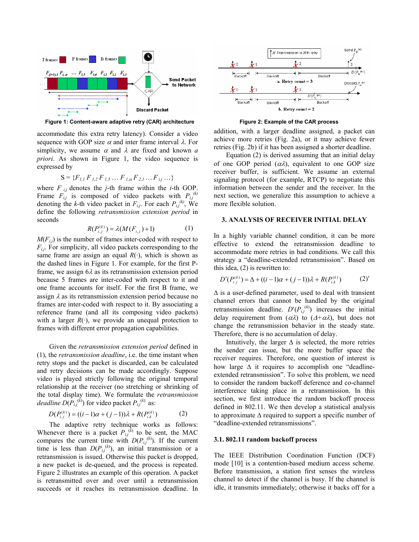

Figure 1: Content-aware adaptive retry (CAR) architecture Figure 2: Example of the CAR process

accommodate this extra retry latency). Consider a video sequence with GOP size  $\alpha$  and inter frame interval  $\lambda$ . For simplicity, we assume  $\alpha$  and  $\lambda$  are fixed and known  $\alpha$ *priori*. As shown in Figure 1, the video sequence is expressed by

$$
S = \{F_{1,1} F_{1,2} F_{1,3} \dots F_{1,\alpha} F_{2,1} \dots F_{i,j} \dots \}
$$

where  $F_{i,j}$  denotes the *j*-th frame within the *i*-th GOP. Frame  $F_{i,j}$  is composed of video packets with  $P_{i,j}^{(k)}$ denoting the *k*-th video packet in  $F_{i,j}$ . For each  $P_{i,j}^{(k)}$ , We define the following *retransmission extension period* in seconds

$$
R(P_{i,j}^{(k)}) = \lambda(M(F_{i,j}) + 1)
$$
 (1)

 $M(F_{i,j})$  is the number of frames inter-coded with respect to  $F_{i,j}$ . For simplicity, all video packets corresponding to the same frame are assign an equal  $R(\cdot)$ , which is shown as the dashed lines in Figure 1. For example, for the first Pframe, we assign  $6\lambda$  as its retransmission extension period because 5 frames are inter-coded with respect to it and one frame accounts for itself. For the first B frame, we assign  $\lambda$  as its retransmission extension period because no frames are inter-coded with respect to it. By associating a reference frame (and all its composing video packets) with a larger  $R(\cdot)$ , we provide an unequal protection to frames with different error propagation capabilities.

Given the *retransmission extension period* defined in (1), the *retransmission deadline*, i.e. the time instant when retry stops and the packet is discarded, can be calculated and retry decisions can be made accordingly. Suppose video is played strictly following the original temporal relationship at the receiver (no stretching or shrinking of the total display time). We formulate the *retransmission deadline*  $D(P_{i,j}^{(k)})$  for video packet  $P_{i,j}^{(k)}$  as:

$$
D(P_{i,j}^{(k)}) = ((i-1)\alpha + (j-1))\lambda + R(P_{i,k}^{(k)})
$$
 (2)

The adaptive retry technique works as follows: Whenever there is a packet  $P_{i,j}^{(k)}$  to be sent, the MAC compares the current time with  $D(P_{i,j}^{(k)})$ . If the current time is less than  $D(P_{i,j}^{(k)})$ , an initial transmission or a retransmission is issued. Otherwise this packet is dropped, a new packet is de-queued, and the process is repeated. Figure 2 illustrates an example of this operation. A packet is retransmitted over and over until a retransmission succeeds or it reaches its retransmission deadline. In



addition, with a larger deadline assigned, a packet can achieve more retries (Fig. 2a), or it may achieve fewer retries (Fig. 2b) if it has been assigned a shorter deadline.

Equation (2) is derived assuming that an initial delay of one GOP period  $(\alpha \lambda)$ , equivalent to one GOP size receiver buffer, is sufficient. We assume an external signaling protocol (for example, RTCP) to negotiate this information between the sender and the receiver. In the next section, we generalize this assumption to achieve a more flexible solution.

## **3. ANALYSIS OF RECEIVER INITIAL DELAY**

In a highly variable channel condition, it can be more effective to extend the retransmission deadline to accommodate more retries in bad conditions. We call this strategy a "deadline-extended retransmission". Based on this idea, (2) is rewritten to:

$$
D'(P_{i,j}^{(k)}) = \Delta + ((i-1)\alpha + (j-1))\lambda + R(P_{i,k}^{(k)})
$$
 (2)'

 $\Delta$  is a user-defined parameter, used to deal with transient channel errors that cannot be handled by the original retransmission deadline.  $D'(P_{i,j}^{(k)})$  increases the initial delay requirement from  $(\alpha \lambda)$  to  $(\Delta + \alpha \lambda)$ , but does not change the retransmission behavior in the steady state. Therefore, there is no accumulation of delay.

Intuitively, the larger  $\Delta$  is selected, the more retries the sender can issue, but the more buffer space the receiver requires. Therefore, one question of interest is how large  $\Delta$  it requires to accomplish one "deadlineextended retransmission". To solve this problem, we need to consider the random backoff deference and co-channel interference taking place in a retransmission. In this section, we first introduce the random backoff process defined in 802.11. We then develop a statistical analysis to approximate ∆ required to support a specific number of "deadline-extended retransmissions".

### **3.1. 802.11 random backoff process**

The IEEE Distribution Coordination Function (DCF) mode [10] is a contention-based medium access scheme. Before transmission, a station first senses the wireless channel to detect if the channel is busy. If the channel is idle, it transmits immediately; otherwise it backs off for a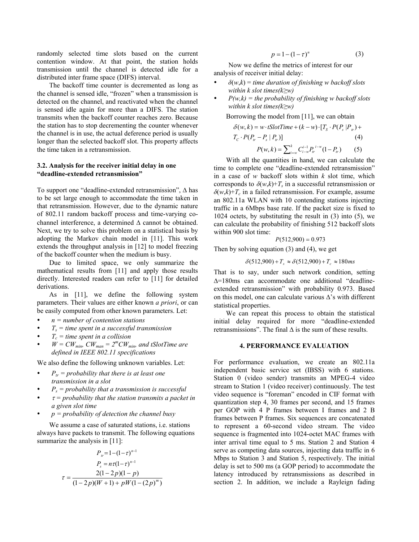randomly selected time slots based on the current contention window. At that point, the station holds transmission until the channel is detected idle for a distributed inter frame space (DIFS) interval.

The backoff time counter is decremented as long as the channel is sensed idle, "frozen" when a transmission is detected on the channel, and reactivated when the channel is sensed idle again for more than a DIFS. The station transmits when the backoff counter reaches zero. Because the station has to stop decrementing the counter whenever the channel is in use, the actual deference period is usually longer than the selected backoff slot. This property affects the time taken in a retransmission.

## **3.2. Analysis for the receiver initial delay in one "deadline-extended retransmission"**

To support one "deadline-extended retransmission", ∆ has to be set large enough to accommodate the time taken in that retransmission. However, due to the dynamic nature of 802.11 random backoff process and time-varying cochannel interference, a determined ∆ cannot be obtained. Next, we try to solve this problem on a statistical basis by adopting the Markov chain model in [11]. This work extends the throughput analysis in [12] to model freezing of the backoff counter when the medium is busy.

Due to limited space, we only summarize the mathematical results from [11] and apply those results directly. Interested readers can refer to [11] for detailed derivations.

As in [11], we define the following system parameters. Their values are either known *a priori*, or can be easily computed from other known parameters. Let:

- y *n = number of contention stations*
- $T<sub>s</sub>$  = time spent in a successful transmission
- $T_c =$  time spent in a collision
- $W = CW_{min}$ ,  $CW_{man} = 2^m CW_{min}$ , and tSlotTime are *defined in IEEE 802.11 specifications*

We also define the following unknown variables. Let:

- $P_{tr}$  = probability that there is at least one *transmission in a slot*
- $P_s$  = probability that a transmission is successful
- y <sup>τ</sup> *= probability that the station transmits a packet in a given slot time*
- y *p = probability of detection the channel busy*

We assume a case of saturated stations, i.e. stations always have packets to transmit. The following equations summarize the analysis in [11]:

$$
P_{tr} = 1 - (1 - \tau)^{n-1}
$$
  
\n
$$
P_{s} = n\tau (1 - \tau)^{n-1}
$$
  
\n
$$
\tau = \frac{2(1 - 2p)(1 - p)}{(1 - 2p)(W + 1) + pW(1 - (2p)^{m})}
$$

$$
p = 1 - (1 - \tau)^n \tag{3}
$$

Now we define the metrics of interest for our analysis of receiver initial delay:

- $\delta(w,k)$  = *time duration of finishing w backoff slots within k slot times(k≥w)*
- $P(w,k)$  = the probability of finishing w backoff slots *within k slot times(k≥w)*

Borrowing the model from [11], we can obtain

$$
\delta(w, k) = w \cdot t \text{SlotTime} + (k - w) \cdot [T_s \cdot P(P_s | P_w) + T_c \cdot P(P_w - P_s | P_w)] \tag{4}
$$
\n
$$
P(w, k) = \sum_{i=w}^{k} C_{i-w}^{i-1} P_w^{i-w} (1 - P_w) \tag{5}
$$

With all the quantities in hand, we can calculate the time to complete one "deadline-extended retransmission" in a case of *w* backoff slots within *k* slot time, which corresponds to  $\delta(w,k)$ + $T_s$  in a successful retransmission or  $\delta(w,k)$ + $T_c$  in a failed retransmission. For example, assume an 802.11a WLAN with 10 contending stations injecting traffic in a 6Mbps base rate. If the packet size is fixed to 1024 octets, by substituting the result in (3) into (5), we can calculate the probability of finishing 512 backoff slots within 900 slot time:

$$
P(512,900) = 0.973
$$

Then by solving equation (3) and (4), we get

 $\delta$ (512,900) +  $T_s \approx \delta$ (512,900) +  $T_c \approx 180$  ms

That is to say, under such network condition, setting ∆=180ms can accommodate one additional "deadlineextended retransmission" with probability 0.973. Based on this model, one can calculate various ∆'s with different statistical properties.

We can repeat this process to obtain the statistical initial delay required for more "deadline-extended retransmissions". The final  $\Delta$  is the sum of these results.

## **4. PERFORMANCE EVALUATION**

For performance evaluation, we create an 802.11a independent basic service set (IBSS) with 6 stations. Station 0 (video sender) transmits an MPEG-4 video stream to Station 1 (video receiver) continuously. The test video sequence is "foreman" encoded in CIF format with quantization step 4, 30 frames per second, and 15 frames per GOP with 4 P frames between I frames and 2 B frames between P frames. Six sequences are concatenated to represent a 60-second video stream. The video sequence is fragmented into 1024-octet MAC frames with inter arrival time equal to 5 ms. Station 2 and Station 4 serve as competing data sources, injecting data traffic in 6 Mbps to Station 3 and Station 5, respectively. The initial delay is set to 500 ms (a GOP period) to accommodate the latency introduced by retransmissions as described in section 2. In addition, we include a Rayleign fading